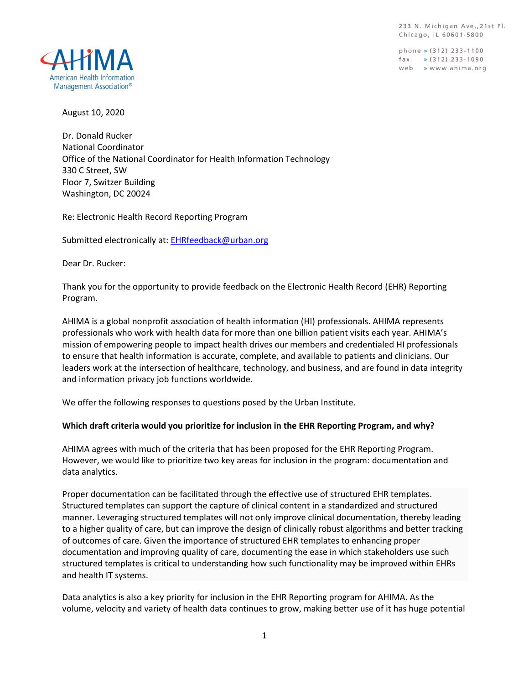233 N. Michigan Ave., 21st Fl. Chicago, IL 60601-5800

phone » (312) 233-1100  $\frac{1}{2}$  (312) 233-1090 web » www.ahima.org



August 10, 2020

Dr. Donald Rucker National Coordinator Office of the National Coordinator for Health Information Technology 330 C Street, SW Floor 7, Switzer Building Washington, DC 20024

Re: Electronic Health Record Reporting Program

Submitted electronically at[: EHRfeedback@urban.org](mailto:EHRfeedback@urban.org)

Dear Dr. Rucker:

Thank you for the opportunity to provide feedback on the Electronic Health Record (EHR) Reporting Program.

AHIMA is a global nonprofit association of health information (HI) professionals. AHIMA represents professionals who work with health data for more than one billion patient visits each year. AHIMA's mission of empowering people to impact health drives our members and credentialed HI professionals to ensure that health information is accurate, complete, and available to patients and clinicians. Our leaders work at the intersection of healthcare, technology, and business, and are found in data integrity and information privacy job functions worldwide.

We offer the following responses to questions posed by the Urban Institute.

#### **Which draft criteria would you prioritize for inclusion in the EHR Reporting Program, and why?**

AHIMA agrees with much of the criteria that has been proposed for the EHR Reporting Program. However, we would like to prioritize two key areas for inclusion in the program: documentation and data analytics.

Proper documentation can be facilitated through the effective use of structured EHR templates. Structured templates can support the capture of clinical content in a standardized and structured manner. Leveraging structured templates will not only improve clinical documentation, thereby leading to a higher quality of care, but can improve the design of clinically robust algorithms and better tracking of outcomes of care. Given the importance of structured EHR templates to enhancing proper documentation and improving quality of care, documenting the ease in which stakeholders use such structured templates is critical to understanding how such functionality may be improved within EHRs and health IT systems.

Data analytics is also a key priority for inclusion in the EHR Reporting program for AHIMA. As the volume, velocity and variety of health data continues to grow, making better use of it has huge potential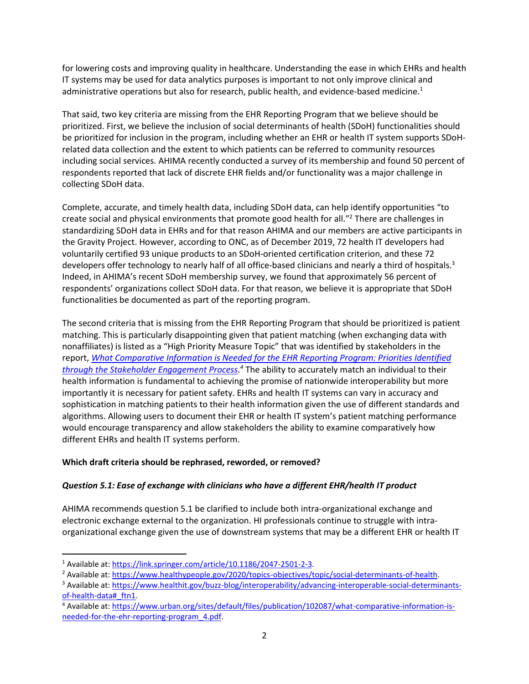for lowering costs and improving quality in healthcare. Understanding the ease in which EHRs and health IT systems may be used for data analytics purposes is important to not only improve clinical and administrative operations but also for research, public health, and evidence-based medicine.<sup>1</sup>

That said, two key criteria are missing from the EHR Reporting Program that we believe should be prioritized. First, we believe the inclusion of social determinants of health (SDoH) functionalities should be prioritized for inclusion in the program, including whether an EHR or health IT system supports SDoHrelated data collection and the extent to which patients can be referred to community resources including social services. AHIMA recently conducted a survey of its membership and found 50 percent of respondents reported that lack of discrete EHR fields and/or functionality was a major challenge in collecting SDoH data.

Complete, accurate, and timely health data, including SDoH data, can help identify opportunities "to create social and physical environments that promote good health for all." <sup>2</sup> There are challenges in standardizing SDoH data in EHRs and for that reason AHIMA and our members are active participants in the Gravity Project. However, according to ONC, as of December 2019, 72 health IT developers had voluntarily certified 93 unique products to an SDoH-oriented certification criterion, and these 72 developers offer technology to nearly half of all office-based clinicians and nearly a third of hospitals.<sup>3</sup> Indeed, in AHIMA's recent SDoH membership survey, we found that approximately 56 percent of respondents' organizations collect SDoH data. For that reason, we believe it is appropriate that SDoH functionalities be documented as part of the reporting program.

The second criteria that is missing from the EHR Reporting Program that should be prioritized is patient matching. This is particularly disappointing given that patient matching (when exchanging data with nonaffiliates) is listed as a "High Priority Measure Topic" that was identified by stakeholders in the report, *[What Comparative Information is Needed for the EHR Reporting Program: Priorities Identified](https://www.urban.org/sites/default/files/publication/102087/what-comparative-information-is-needed-for-the-ehr-reporting-program_3.pdf)  [through the Stakeholder Engagement Process.](https://www.urban.org/sites/default/files/publication/102087/what-comparative-information-is-needed-for-the-ehr-reporting-program_3.pdf) <sup>4</sup>* The ability to accurately match an individual to their health information is fundamental to achieving the promise of nationwide interoperability but more importantly it is necessary for patient safety. EHRs and health IT systems can vary in accuracy and sophistication in matching patients to their health information given the use of different standards and algorithms. Allowing users to document their EHR or health IT system's patient matching performance would encourage transparency and allow stakeholders the ability to examine comparatively how different EHRs and health IT systems perform.

# **Which draft criteria should be rephrased, reworded, or removed?**

# *Question 5.1: Ease of exchange with clinicians who have a different EHR/health IT product*

AHIMA recommends question 5.1 be clarified to include both intra-organizational exchange and electronic exchange external to the organization. HI professionals continue to struggle with intraorganizational exchange given the use of downstream systems that may be a different EHR or health IT

<sup>1</sup> Available at: [https://link.springer.com/article/10.1186/2047-2501-2-3.](https://link.springer.com/article/10.1186/2047-2501-2-3) 

<sup>&</sup>lt;sup>2</sup> Available at: [https://www.healthypeople.gov/2020/topics-objectives/topic/social-determinants-of-health.](https://www.healthypeople.gov/2020/topics-objectives/topic/social-determinants-of-health)

<sup>3</sup> Available at: [https://www.healthit.gov/buzz-blog/interoperability/advancing-interoperable-social-determinants](https://www.healthit.gov/buzz-blog/interoperability/advancing-interoperable-social-determinants-of-health-data#_ftn1)[of-health-data#\\_ftn1.](https://www.healthit.gov/buzz-blog/interoperability/advancing-interoperable-social-determinants-of-health-data#_ftn1)

<sup>4</sup> Available at: [https://www.urban.org/sites/default/files/publication/102087/what-comparative-information-is](https://www.urban.org/sites/default/files/publication/102087/what-comparative-information-is-needed-for-the-ehr-reporting-program_4.pdf)[needed-for-the-ehr-reporting-program\\_4.pdf.](https://www.urban.org/sites/default/files/publication/102087/what-comparative-information-is-needed-for-the-ehr-reporting-program_4.pdf)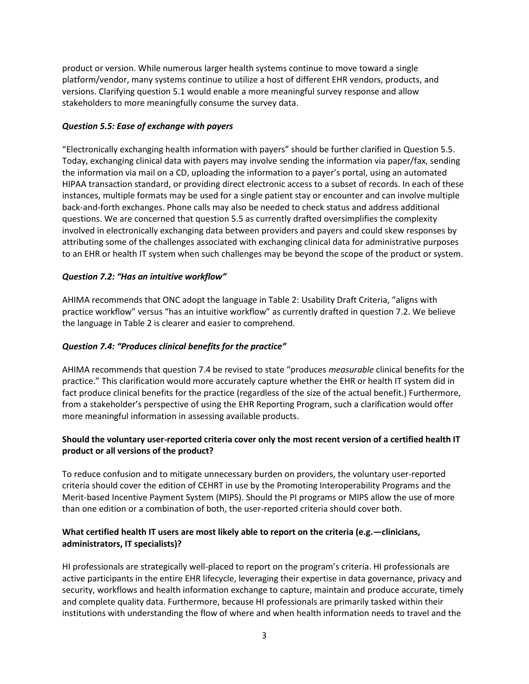product or version. While numerous larger health systems continue to move toward a single platform/vendor, many systems continue to utilize a host of different EHR vendors, products, and versions. Clarifying question 5.1 would enable a more meaningful survey response and allow stakeholders to more meaningfully consume the survey data.

## *Question 5.5: Ease of exchange with payers*

"Electronically exchanging health information with payers" should be further clarified in Question 5.5. Today, exchanging clinical data with payers may involve sending the information via paper/fax, sending the information via mail on a CD, uploading the information to a payer's portal, using an automated HIPAA transaction standard, or providing direct electronic access to a subset of records. In each of these instances, multiple formats may be used for a single patient stay or encounter and can involve multiple back-and-forth exchanges. Phone calls may also be needed to check status and address additional questions. We are concerned that question 5.5 as currently drafted oversimplifies the complexity involved in electronically exchanging data between providers and payers and could skew responses by attributing some of the challenges associated with exchanging clinical data for administrative purposes to an EHR or health IT system when such challenges may be beyond the scope of the product or system.

#### *Question 7.2: "Has an intuitive workflow"*

AHIMA recommends that ONC adopt the language in Table 2: Usability Draft Criteria, "aligns with practice workflow" versus "has an intuitive workflow" as currently drafted in question 7.2. We believe the language in Table 2 is clearer and easier to comprehend.

## *Question 7.4: "Produces clinical benefits for the practice"*

AHIMA recommends that question 7.4 be revised to state "produces *measurable* clinical benefits for the practice." This clarification would more accurately capture whether the EHR or health IT system did in fact produce clinical benefits for the practice (regardless of the size of the actual benefit.) Furthermore, from a stakeholder's perspective of using the EHR Reporting Program, such a clarification would offer more meaningful information in assessing available products.

# **Should the voluntary user-reported criteria cover only the most recent version of a certified health IT product or all versions of the product?**

To reduce confusion and to mitigate unnecessary burden on providers, the voluntary user-reported criteria should cover the edition of CEHRT in use by the Promoting Interoperability Programs and the Merit-based Incentive Payment System (MIPS). Should the PI programs or MIPS allow the use of more than one edition or a combination of both, the user-reported criteria should cover both.

# **What certified health IT users are most likely able to report on the criteria (e.g.—clinicians, administrators, IT specialists)?**

HI professionals are strategically well-placed to report on the program's criteria. HI professionals are active participants in the entire EHR lifecycle, leveraging their expertise in data governance, privacy and security, workflows and health information exchange to capture, maintain and produce accurate, timely and complete quality data. Furthermore, because HI professionals are primarily tasked within their institutions with understanding the flow of where and when health information needs to travel and the